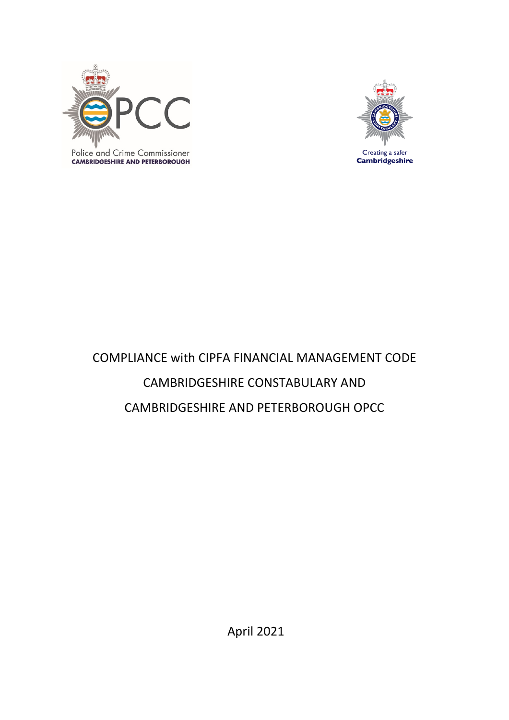

Creating a safer **Cambridgeshire** 

## Police and Crime Commissioner **CAMBRIDGESHIRE AND PETERBOROUGH**

## COMPLIANCE with CIPFA FINANCIAL MANAGEMENT CODE CAMBRIDGESHIRE CONSTABULARY AND CAMBRIDGESHIRE AND PETERBOROUGH OPCC

April 2021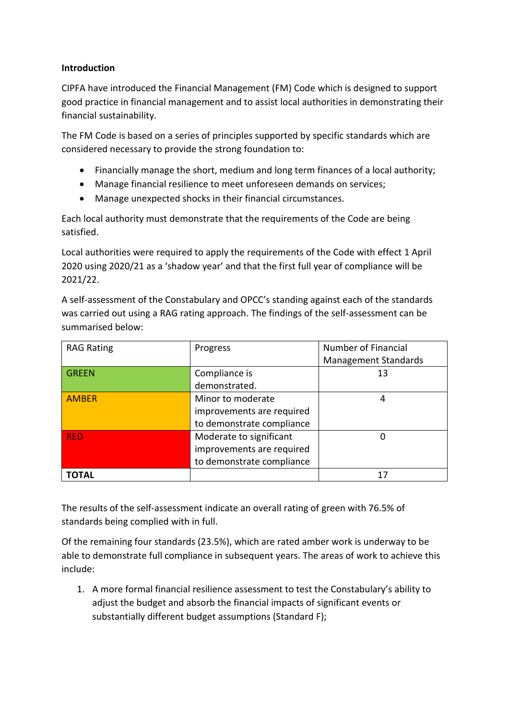## **Introduction**

CIPFA have introduced the Financial Management (FM) Code which is designed to support good practice in financial management and to assist local authorities in demonstrating their financial sustainability.

The FM Code is based on a series of principles supported by specific standards which are considered necessary to provide the strong foundation to:

- Financially manage the short, medium and long term finances of a local authority;
- Manage financial resilience to meet unforeseen demands on services;
- Manage unexpected shocks in their financial circumstances.

Each local authority must demonstrate that the requirements of the Code are being satisfied.

Local authorities were required to apply the requirements of the Code with effect 1 April 2020 using 2020/21 as a 'shadow year' and that the first full year of compliance will be 2021/22.

A self-assessment of the Constabulary and OPCC's standing against each of the standards was carried out using a RAG rating approach. The findings of the self-assessment can be summarised below:

| <b>RAG Rating</b> | Progress                  | Number of Financial         |
|-------------------|---------------------------|-----------------------------|
|                   |                           | <b>Management Standards</b> |
| <b>GREEN</b>      | Compliance is             | 13                          |
|                   | demonstrated.             |                             |
| <b>AMBER</b>      | Minor to moderate         | 4                           |
|                   | improvements are required |                             |
|                   | to demonstrate compliance |                             |
| <b>RED</b>        | Moderate to significant   | 0                           |
|                   | improvements are required |                             |
|                   | to demonstrate compliance |                             |
| <b>TOTAL</b>      |                           | 17                          |

The results of the self-assessment indicate an overall rating of green with 76.5% of standards being complied with in full.

Of the remaining four standards (23.5%), which are rated amber work is underway to be able to demonstrate full compliance in subsequent years. The areas of work to achieve this include:

1. A more formal financial resilience assessment to test the Constabulary's ability to adjust the budget and absorb the financial impacts of significant events or substantially different budget assumptions (Standard F);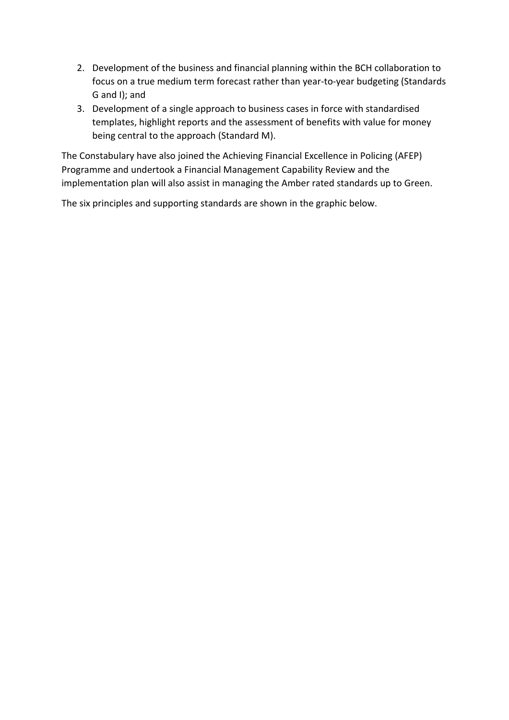- 2. Development of the business and financial planning within the BCH collaboration to focus on a true medium term forecast rather than year-to-year budgeting (Standards G and I); and
- 3. Development of a single approach to business cases in force with standardised templates, highlight reports and the assessment of benefits with value for money being central to the approach (Standard M).

The Constabulary have also joined the Achieving Financial Excellence in Policing (AFEP) Programme and undertook a Financial Management Capability Review and the implementation plan will also assist in managing the Amber rated standards up to Green.

The six principles and supporting standards are shown in the graphic below.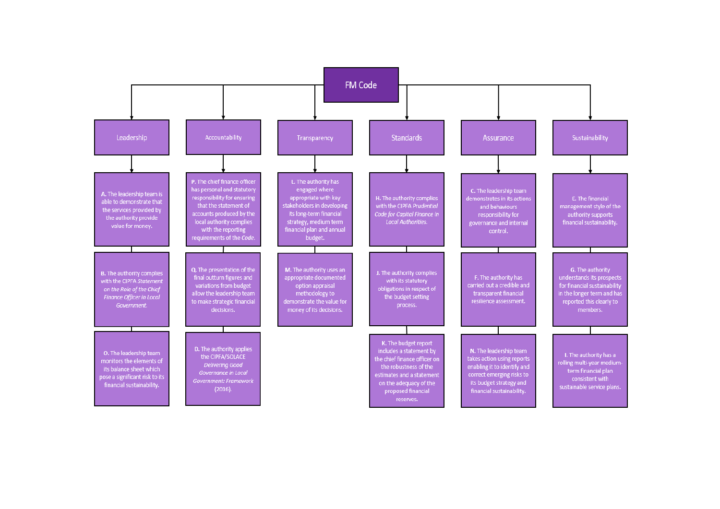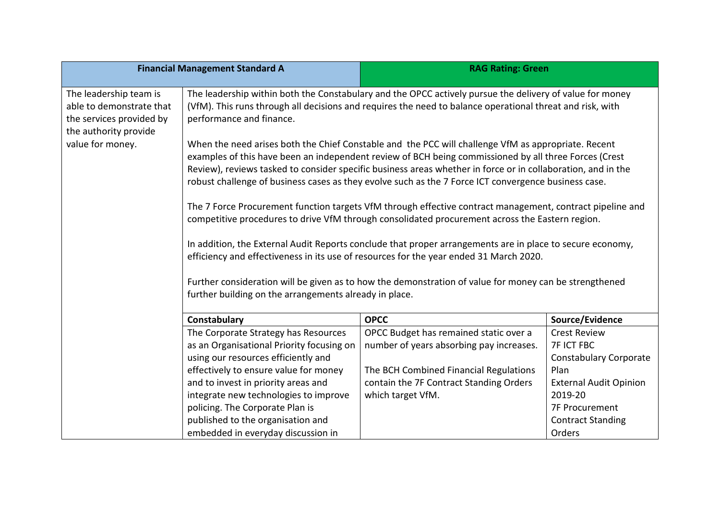|                                                                                                         | <b>Financial Management Standard A</b>                                                                                                                                                                                                                                                                                                                                                                                               | <b>RAG Rating: Green</b>                                                                                                                                                                                              |                               |
|---------------------------------------------------------------------------------------------------------|--------------------------------------------------------------------------------------------------------------------------------------------------------------------------------------------------------------------------------------------------------------------------------------------------------------------------------------------------------------------------------------------------------------------------------------|-----------------------------------------------------------------------------------------------------------------------------------------------------------------------------------------------------------------------|-------------------------------|
| The leadership team is<br>able to demonstrate that<br>the services provided by<br>the authority provide | performance and finance.                                                                                                                                                                                                                                                                                                                                                                                                             | The leadership within both the Constabulary and the OPCC actively pursue the delivery of value for money<br>(VfM). This runs through all decisions and requires the need to balance operational threat and risk, with |                               |
| value for money.                                                                                        | When the need arises both the Chief Constable and the PCC will challenge VfM as appropriate. Recent<br>examples of this have been an independent review of BCH being commissioned by all three Forces (Crest<br>Review), reviews tasked to consider specific business areas whether in force or in collaboration, and in the<br>robust challenge of business cases as they evolve such as the 7 Force ICT convergence business case. |                                                                                                                                                                                                                       |                               |
|                                                                                                         | The 7 Force Procurement function targets VfM through effective contract management, contract pipeline and<br>competitive procedures to drive VfM through consolidated procurement across the Eastern region.                                                                                                                                                                                                                         |                                                                                                                                                                                                                       |                               |
|                                                                                                         | In addition, the External Audit Reports conclude that proper arrangements are in place to secure economy,<br>efficiency and effectiveness in its use of resources for the year ended 31 March 2020.<br>Further consideration will be given as to how the demonstration of value for money can be strengthened<br>further building on the arrangements already in place.                                                              |                                                                                                                                                                                                                       |                               |
|                                                                                                         |                                                                                                                                                                                                                                                                                                                                                                                                                                      |                                                                                                                                                                                                                       |                               |
|                                                                                                         | Constabulary                                                                                                                                                                                                                                                                                                                                                                                                                         | <b>OPCC</b>                                                                                                                                                                                                           | Source/Evidence               |
|                                                                                                         | The Corporate Strategy has Resources                                                                                                                                                                                                                                                                                                                                                                                                 | OPCC Budget has remained static over a                                                                                                                                                                                | <b>Crest Review</b>           |
|                                                                                                         | as an Organisational Priority focusing on                                                                                                                                                                                                                                                                                                                                                                                            | number of years absorbing pay increases.                                                                                                                                                                              | <b>7F ICT FBC</b>             |
|                                                                                                         | using our resources efficiently and                                                                                                                                                                                                                                                                                                                                                                                                  |                                                                                                                                                                                                                       | <b>Constabulary Corporate</b> |
|                                                                                                         | effectively to ensure value for money                                                                                                                                                                                                                                                                                                                                                                                                | The BCH Combined Financial Regulations                                                                                                                                                                                | Plan                          |
|                                                                                                         | and to invest in priority areas and                                                                                                                                                                                                                                                                                                                                                                                                  | contain the 7F Contract Standing Orders                                                                                                                                                                               | <b>External Audit Opinion</b> |
|                                                                                                         | integrate new technologies to improve                                                                                                                                                                                                                                                                                                                                                                                                | which target VfM.                                                                                                                                                                                                     | 2019-20                       |
|                                                                                                         | policing. The Corporate Plan is                                                                                                                                                                                                                                                                                                                                                                                                      |                                                                                                                                                                                                                       | <b>7F Procurement</b>         |
|                                                                                                         | published to the organisation and                                                                                                                                                                                                                                                                                                                                                                                                    |                                                                                                                                                                                                                       | <b>Contract Standing</b>      |
|                                                                                                         | embedded in everyday discussion in                                                                                                                                                                                                                                                                                                                                                                                                   |                                                                                                                                                                                                                       | Orders                        |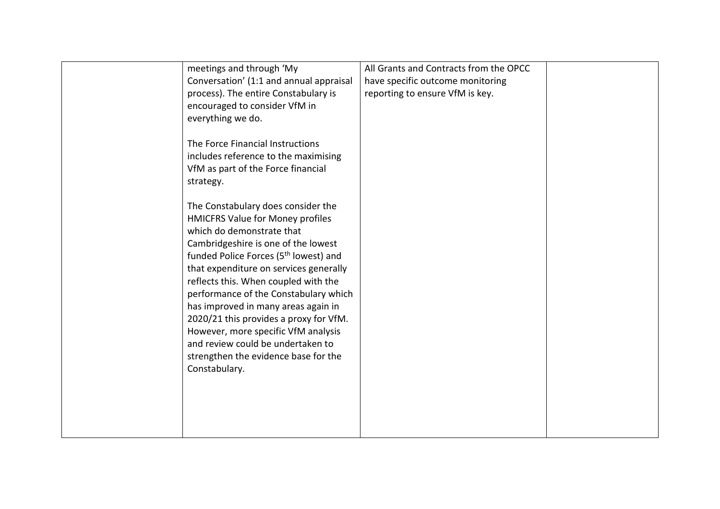|               | meetings and through 'My                          | All Grants and Contracts from the OPCC |  |
|---------------|---------------------------------------------------|----------------------------------------|--|
|               |                                                   |                                        |  |
|               | Conversation' (1:1 and annual appraisal           | have specific outcome monitoring       |  |
|               | process). The entire Constabulary is              | reporting to ensure VfM is key.        |  |
|               | encouraged to consider VfM in                     |                                        |  |
|               | everything we do.                                 |                                        |  |
|               |                                                   |                                        |  |
|               | The Force Financial Instructions                  |                                        |  |
|               | includes reference to the maximising              |                                        |  |
|               | VfM as part of the Force financial                |                                        |  |
|               |                                                   |                                        |  |
| strategy.     |                                                   |                                        |  |
|               |                                                   |                                        |  |
|               | The Constabulary does consider the                |                                        |  |
|               | HMICFRS Value for Money profiles                  |                                        |  |
|               | which do demonstrate that                         |                                        |  |
|               | Cambridgeshire is one of the lowest               |                                        |  |
|               | funded Police Forces (5 <sup>th</sup> lowest) and |                                        |  |
|               | that expenditure on services generally            |                                        |  |
|               | reflects this. When coupled with the              |                                        |  |
|               | performance of the Constabulary which             |                                        |  |
|               | has improved in many areas again in               |                                        |  |
|               | 2020/21 this provides a proxy for VfM.            |                                        |  |
|               |                                                   |                                        |  |
|               | However, more specific VfM analysis               |                                        |  |
|               | and review could be undertaken to                 |                                        |  |
|               | strengthen the evidence base for the              |                                        |  |
| Constabulary. |                                                   |                                        |  |
|               |                                                   |                                        |  |
|               |                                                   |                                        |  |
|               |                                                   |                                        |  |
|               |                                                   |                                        |  |
|               |                                                   |                                        |  |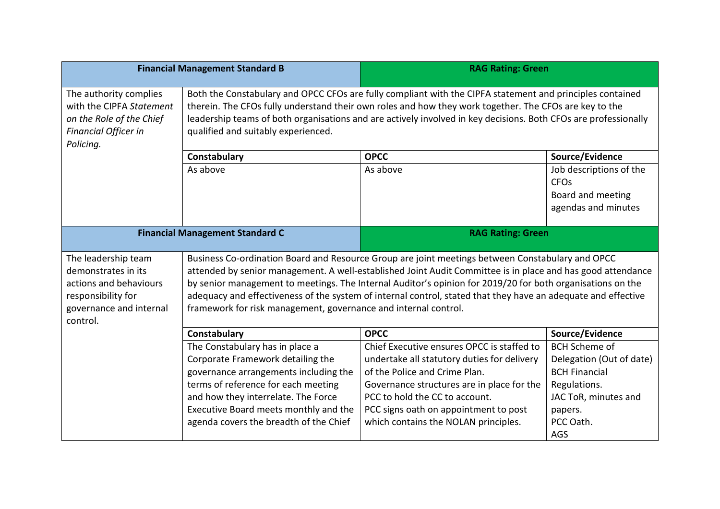| <b>Financial Management Standard B</b>                                                                                            |                                                                                                                                                                                                                                                                                                                                                                                                                                                                                                                   | <b>RAG Rating: Green</b>                                                                                                                                                                                                                                                                    |                                                                                                                                                 |  |
|-----------------------------------------------------------------------------------------------------------------------------------|-------------------------------------------------------------------------------------------------------------------------------------------------------------------------------------------------------------------------------------------------------------------------------------------------------------------------------------------------------------------------------------------------------------------------------------------------------------------------------------------------------------------|---------------------------------------------------------------------------------------------------------------------------------------------------------------------------------------------------------------------------------------------------------------------------------------------|-------------------------------------------------------------------------------------------------------------------------------------------------|--|
| The authority complies<br>with the CIPFA Statement<br>on the Role of the Chief<br>Financial Officer in<br>Policing.               | Both the Constabulary and OPCC CFOs are fully compliant with the CIPFA statement and principles contained<br>therein. The CFOs fully understand their own roles and how they work together. The CFOs are key to the<br>leadership teams of both organisations and are actively involved in key decisions. Both CFOs are professionally<br>qualified and suitably experienced.                                                                                                                                     |                                                                                                                                                                                                                                                                                             |                                                                                                                                                 |  |
|                                                                                                                                   | <b>OPCC</b><br>Source/Evidence<br>Constabulary                                                                                                                                                                                                                                                                                                                                                                                                                                                                    |                                                                                                                                                                                                                                                                                             |                                                                                                                                                 |  |
|                                                                                                                                   | As above                                                                                                                                                                                                                                                                                                                                                                                                                                                                                                          | As above                                                                                                                                                                                                                                                                                    | Job descriptions of the<br><b>CFO<sub>s</sub></b><br>Board and meeting<br>agendas and minutes                                                   |  |
|                                                                                                                                   | <b>Financial Management Standard C</b><br><b>RAG Rating: Green</b>                                                                                                                                                                                                                                                                                                                                                                                                                                                |                                                                                                                                                                                                                                                                                             |                                                                                                                                                 |  |
| The leadership team<br>demonstrates in its<br>actions and behaviours<br>responsibility for<br>governance and internal<br>control. | Business Co-ordination Board and Resource Group are joint meetings between Constabulary and OPCC<br>attended by senior management. A well-established Joint Audit Committee is in place and has good attendance<br>by senior management to meetings. The Internal Auditor's opinion for 2019/20 for both organisations on the<br>adequacy and effectiveness of the system of internal control, stated that they have an adequate and effective<br>framework for risk management, governance and internal control. |                                                                                                                                                                                                                                                                                             |                                                                                                                                                 |  |
|                                                                                                                                   | Constabulary                                                                                                                                                                                                                                                                                                                                                                                                                                                                                                      | <b>OPCC</b>                                                                                                                                                                                                                                                                                 | Source/Evidence                                                                                                                                 |  |
|                                                                                                                                   | The Constabulary has in place a<br>Corporate Framework detailing the<br>governance arrangements including the<br>terms of reference for each meeting<br>and how they interrelate. The Force<br>Executive Board meets monthly and the<br>agenda covers the breadth of the Chief                                                                                                                                                                                                                                    | Chief Executive ensures OPCC is staffed to<br>undertake all statutory duties for delivery<br>of the Police and Crime Plan.<br>Governance structures are in place for the<br>PCC to hold the CC to account.<br>PCC signs oath on appointment to post<br>which contains the NOLAN principles. | <b>BCH Scheme of</b><br>Delegation (Out of date)<br><b>BCH Financial</b><br>Regulations.<br>JAC ToR, minutes and<br>papers.<br>PCC Oath.<br>AGS |  |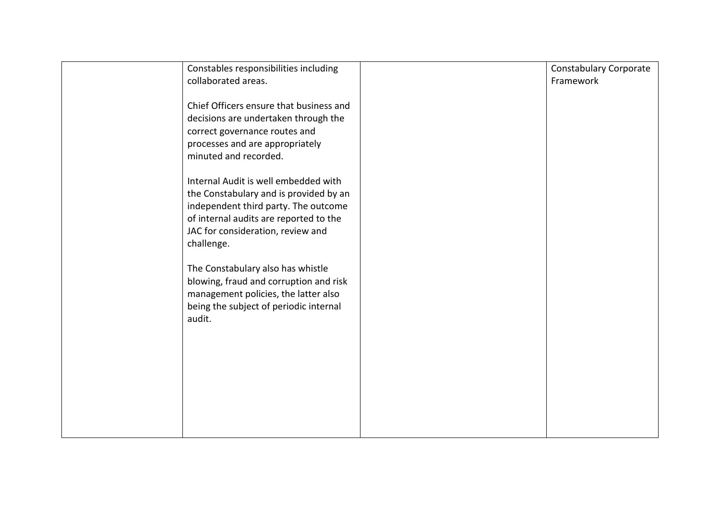| Constables responsibilities including<br>collaborated areas.                                                                                                                                                        | <b>Constabulary Corporate</b><br>Framework |
|---------------------------------------------------------------------------------------------------------------------------------------------------------------------------------------------------------------------|--------------------------------------------|
| Chief Officers ensure that business and<br>decisions are undertaken through the<br>correct governance routes and<br>processes and are appropriately<br>minuted and recorded.                                        |                                            |
| Internal Audit is well embedded with<br>the Constabulary and is provided by an<br>independent third party. The outcome<br>of internal audits are reported to the<br>JAC for consideration, review and<br>challenge. |                                            |
| The Constabulary also has whistle<br>blowing, fraud and corruption and risk<br>management policies, the latter also<br>being the subject of periodic internal<br>audit.                                             |                                            |
|                                                                                                                                                                                                                     |                                            |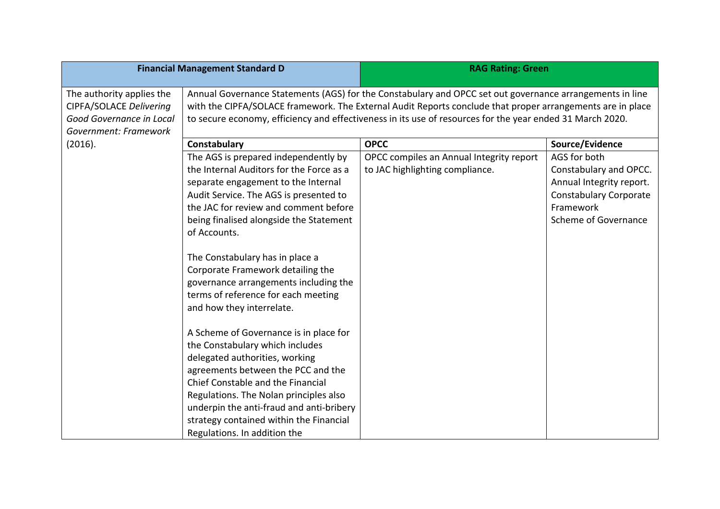|                                                                                                           | <b>Financial Management Standard D</b>                                                                                                                                                                                                                                                                                                                  | <b>RAG Rating: Green</b>                                                    |                                                                                                                                          |
|-----------------------------------------------------------------------------------------------------------|---------------------------------------------------------------------------------------------------------------------------------------------------------------------------------------------------------------------------------------------------------------------------------------------------------------------------------------------------------|-----------------------------------------------------------------------------|------------------------------------------------------------------------------------------------------------------------------------------|
| The authority applies the<br>CIPFA/SOLACE Delivering<br>Good Governance in Local<br>Government: Framework | Annual Governance Statements (AGS) for the Constabulary and OPCC set out governance arrangements in line<br>with the CIPFA/SOLACE framework. The External Audit Reports conclude that proper arrangements are in place<br>to secure economy, efficiency and effectiveness in its use of resources for the year ended 31 March 2020.                     |                                                                             |                                                                                                                                          |
| (2016).                                                                                                   | Constabulary<br><b>OPCC</b><br>Source/Evidence                                                                                                                                                                                                                                                                                                          |                                                                             |                                                                                                                                          |
|                                                                                                           | The AGS is prepared independently by<br>the Internal Auditors for the Force as a<br>separate engagement to the Internal<br>Audit Service. The AGS is presented to<br>the JAC for review and comment before<br>being finalised alongside the Statement<br>of Accounts.                                                                                   | OPCC compiles an Annual Integrity report<br>to JAC highlighting compliance. | AGS for both<br>Constabulary and OPCC.<br>Annual Integrity report.<br><b>Constabulary Corporate</b><br>Framework<br>Scheme of Governance |
|                                                                                                           | The Constabulary has in place a<br>Corporate Framework detailing the<br>governance arrangements including the<br>terms of reference for each meeting<br>and how they interrelate.                                                                                                                                                                       |                                                                             |                                                                                                                                          |
|                                                                                                           | A Scheme of Governance is in place for<br>the Constabulary which includes<br>delegated authorities, working<br>agreements between the PCC and the<br>Chief Constable and the Financial<br>Regulations. The Nolan principles also<br>underpin the anti-fraud and anti-bribery<br>strategy contained within the Financial<br>Regulations. In addition the |                                                                             |                                                                                                                                          |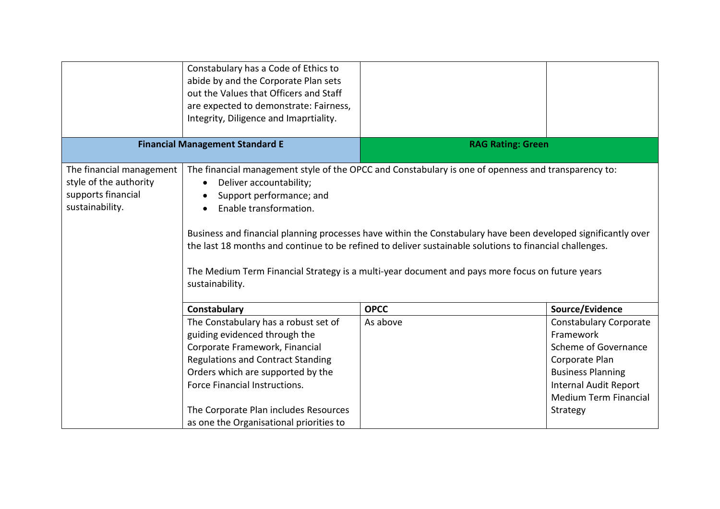|                                                                                             | Constabulary has a Code of Ethics to<br>abide by and the Corporate Plan sets<br>out the Values that Officers and Staff<br>are expected to demonstrate: Fairness,<br>Integrity, Diligence and Imaprtiality.                                                                                                    |                                                                                                                                                                                                                                                                                                                                                                                                                                    |                                                                                                                                                                                              |
|---------------------------------------------------------------------------------------------|---------------------------------------------------------------------------------------------------------------------------------------------------------------------------------------------------------------------------------------------------------------------------------------------------------------|------------------------------------------------------------------------------------------------------------------------------------------------------------------------------------------------------------------------------------------------------------------------------------------------------------------------------------------------------------------------------------------------------------------------------------|----------------------------------------------------------------------------------------------------------------------------------------------------------------------------------------------|
|                                                                                             | <b>Financial Management Standard E</b>                                                                                                                                                                                                                                                                        | <b>RAG Rating: Green</b>                                                                                                                                                                                                                                                                                                                                                                                                           |                                                                                                                                                                                              |
| The financial management<br>style of the authority<br>supports financial<br>sustainability. | Deliver accountability;<br>Support performance; and<br>Enable transformation.<br>sustainability.                                                                                                                                                                                                              | The financial management style of the OPCC and Constabulary is one of openness and transparency to:<br>Business and financial planning processes have within the Constabulary have been developed significantly over<br>the last 18 months and continue to be refined to deliver sustainable solutions to financial challenges.<br>The Medium Term Financial Strategy is a multi-year document and pays more focus on future years |                                                                                                                                                                                              |
|                                                                                             | Constabulary                                                                                                                                                                                                                                                                                                  | <b>OPCC</b>                                                                                                                                                                                                                                                                                                                                                                                                                        | Source/Evidence                                                                                                                                                                              |
|                                                                                             | The Constabulary has a robust set of<br>guiding evidenced through the<br>Corporate Framework, Financial<br><b>Regulations and Contract Standing</b><br>Orders which are supported by the<br>Force Financial Instructions.<br>The Corporate Plan includes Resources<br>as one the Organisational priorities to | As above                                                                                                                                                                                                                                                                                                                                                                                                                           | <b>Constabulary Corporate</b><br>Framework<br>Scheme of Governance<br>Corporate Plan<br><b>Business Planning</b><br><b>Internal Audit Report</b><br><b>Medium Term Financial</b><br>Strategy |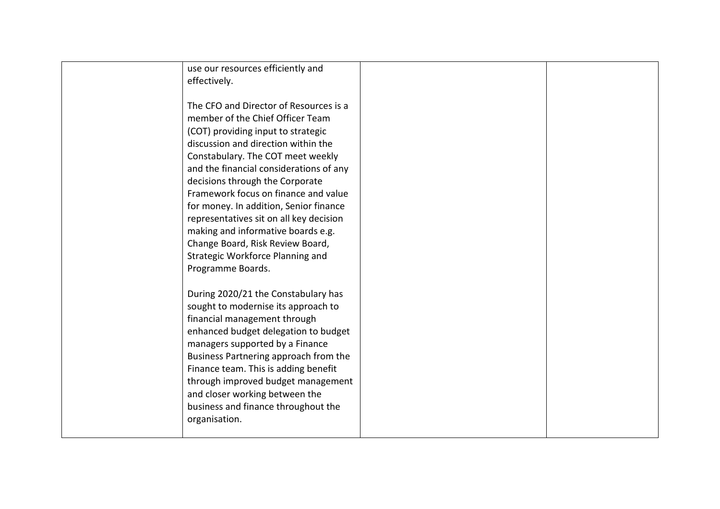| use our resources efficiently and<br>effectively.                                                                                                                                                                                                                                                                                                                                                                                                                                                                            |  |
|------------------------------------------------------------------------------------------------------------------------------------------------------------------------------------------------------------------------------------------------------------------------------------------------------------------------------------------------------------------------------------------------------------------------------------------------------------------------------------------------------------------------------|--|
| The CFO and Director of Resources is a<br>member of the Chief Officer Team<br>(COT) providing input to strategic<br>discussion and direction within the<br>Constabulary. The COT meet weekly<br>and the financial considerations of any<br>decisions through the Corporate<br>Framework focus on finance and value<br>for money. In addition, Senior finance<br>representatives sit on all key decision<br>making and informative boards e.g.<br>Change Board, Risk Review Board,<br><b>Strategic Workforce Planning and</b> |  |
| Programme Boards.<br>During 2020/21 the Constabulary has<br>sought to modernise its approach to<br>financial management through<br>enhanced budget delegation to budget<br>managers supported by a Finance<br>Business Partnering approach from the<br>Finance team. This is adding benefit<br>through improved budget management<br>and closer working between the<br>business and finance throughout the<br>organisation.                                                                                                  |  |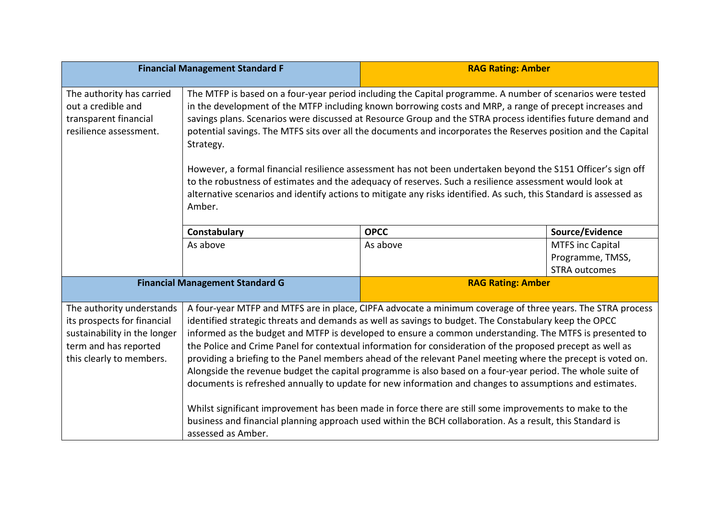| <b>Financial Management Standard F</b>                                                                                                        |                                                                                                                                                                                                                                                                                                                                                                                                                                                                                                                                                                                                                                                                                                                                                                                                                                                                                                                                                                                                                                    | <b>RAG Rating: Amber</b> |                         |
|-----------------------------------------------------------------------------------------------------------------------------------------------|------------------------------------------------------------------------------------------------------------------------------------------------------------------------------------------------------------------------------------------------------------------------------------------------------------------------------------------------------------------------------------------------------------------------------------------------------------------------------------------------------------------------------------------------------------------------------------------------------------------------------------------------------------------------------------------------------------------------------------------------------------------------------------------------------------------------------------------------------------------------------------------------------------------------------------------------------------------------------------------------------------------------------------|--------------------------|-------------------------|
| The authority has carried<br>out a credible and<br>transparent financial<br>resilience assessment.                                            | The MTFP is based on a four-year period including the Capital programme. A number of scenarios were tested<br>in the development of the MTFP including known borrowing costs and MRP, a range of precept increases and<br>savings plans. Scenarios were discussed at Resource Group and the STRA process identifies future demand and<br>potential savings. The MTFS sits over all the documents and incorporates the Reserves position and the Capital<br>Strategy.<br>However, a formal financial resilience assessment has not been undertaken beyond the S151 Officer's sign off<br>to the robustness of estimates and the adequacy of reserves. Such a resilience assessment would look at<br>alternative scenarios and identify actions to mitigate any risks identified. As such, this Standard is assessed as                                                                                                                                                                                                              |                          |                         |
|                                                                                                                                               | Amber.                                                                                                                                                                                                                                                                                                                                                                                                                                                                                                                                                                                                                                                                                                                                                                                                                                                                                                                                                                                                                             |                          |                         |
|                                                                                                                                               | Constabulary                                                                                                                                                                                                                                                                                                                                                                                                                                                                                                                                                                                                                                                                                                                                                                                                                                                                                                                                                                                                                       | <b>OPCC</b>              | Source/Evidence         |
|                                                                                                                                               | As above                                                                                                                                                                                                                                                                                                                                                                                                                                                                                                                                                                                                                                                                                                                                                                                                                                                                                                                                                                                                                           | As above                 | <b>MTFS inc Capital</b> |
|                                                                                                                                               |                                                                                                                                                                                                                                                                                                                                                                                                                                                                                                                                                                                                                                                                                                                                                                                                                                                                                                                                                                                                                                    |                          | Programme, TMSS,        |
|                                                                                                                                               |                                                                                                                                                                                                                                                                                                                                                                                                                                                                                                                                                                                                                                                                                                                                                                                                                                                                                                                                                                                                                                    |                          | <b>STRA outcomes</b>    |
|                                                                                                                                               | <b>Financial Management Standard G</b>                                                                                                                                                                                                                                                                                                                                                                                                                                                                                                                                                                                                                                                                                                                                                                                                                                                                                                                                                                                             | <b>RAG Rating: Amber</b> |                         |
| The authority understands<br>its prospects for financial<br>sustainability in the longer<br>term and has reported<br>this clearly to members. | A four-year MTFP and MTFS are in place, CIPFA advocate a minimum coverage of three years. The STRA process<br>identified strategic threats and demands as well as savings to budget. The Constabulary keep the OPCC<br>informed as the budget and MTFP is developed to ensure a common understanding. The MTFS is presented to<br>the Police and Crime Panel for contextual information for consideration of the proposed precept as well as<br>providing a briefing to the Panel members ahead of the relevant Panel meeting where the precept is voted on.<br>Alongside the revenue budget the capital programme is also based on a four-year period. The whole suite of<br>documents is refreshed annually to update for new information and changes to assumptions and estimates.<br>Whilst significant improvement has been made in force there are still some improvements to make to the<br>business and financial planning approach used within the BCH collaboration. As a result, this Standard is<br>assessed as Amber. |                          |                         |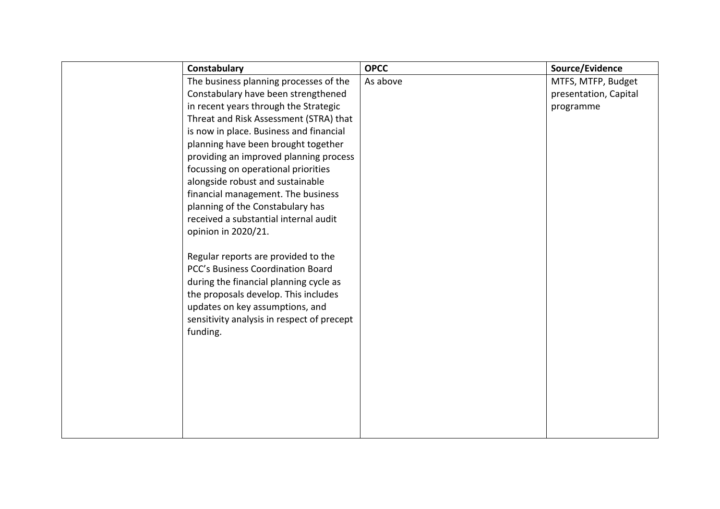| Constabulary                                                             | <b>OPCC</b> | Source/Evidence       |
|--------------------------------------------------------------------------|-------------|-----------------------|
| The business planning processes of the                                   | As above    | MTFS, MTFP, Budget    |
| Constabulary have been strengthened                                      |             | presentation, Capital |
| in recent years through the Strategic                                    |             | programme             |
| Threat and Risk Assessment (STRA) that                                   |             |                       |
| is now in place. Business and financial                                  |             |                       |
| planning have been brought together                                      |             |                       |
| providing an improved planning process                                   |             |                       |
| focussing on operational priorities                                      |             |                       |
| alongside robust and sustainable                                         |             |                       |
| financial management. The business                                       |             |                       |
| planning of the Constabulary has                                         |             |                       |
| received a substantial internal audit                                    |             |                       |
| opinion in 2020/21.                                                      |             |                       |
| Regular reports are provided to the<br>PCC's Business Coordination Board |             |                       |
| during the financial planning cycle as                                   |             |                       |
| the proposals develop. This includes                                     |             |                       |
| updates on key assumptions, and                                          |             |                       |
| sensitivity analysis in respect of precept                               |             |                       |
| funding.                                                                 |             |                       |
|                                                                          |             |                       |
|                                                                          |             |                       |
|                                                                          |             |                       |
|                                                                          |             |                       |
|                                                                          |             |                       |
|                                                                          |             |                       |
|                                                                          |             |                       |
|                                                                          |             |                       |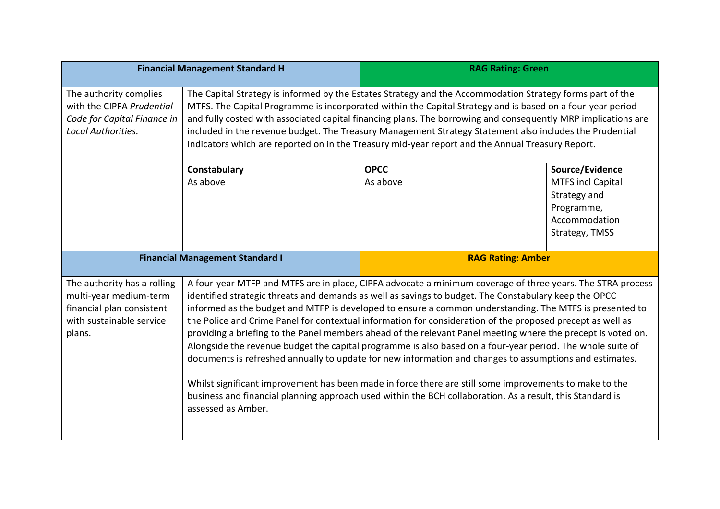|                                                                                                                          | <b>Financial Management Standard H</b>                                                                                                                                                                                                                                                                                                                                                                                                                                                                                                                                                                                                                                                                                                                                                                                                                                                                                                                                                                                             | <b>RAG Rating: Green</b> |                                                                                           |
|--------------------------------------------------------------------------------------------------------------------------|------------------------------------------------------------------------------------------------------------------------------------------------------------------------------------------------------------------------------------------------------------------------------------------------------------------------------------------------------------------------------------------------------------------------------------------------------------------------------------------------------------------------------------------------------------------------------------------------------------------------------------------------------------------------------------------------------------------------------------------------------------------------------------------------------------------------------------------------------------------------------------------------------------------------------------------------------------------------------------------------------------------------------------|--------------------------|-------------------------------------------------------------------------------------------|
| The authority complies<br>with the CIPFA Prudential<br>Code for Capital Finance in<br>Local Authorities.                 | The Capital Strategy is informed by the Estates Strategy and the Accommodation Strategy forms part of the<br>MTFS. The Capital Programme is incorporated within the Capital Strategy and is based on a four-year period<br>and fully costed with associated capital financing plans. The borrowing and consequently MRP implications are<br>included in the revenue budget. The Treasury Management Strategy Statement also includes the Prudential<br>Indicators which are reported on in the Treasury mid-year report and the Annual Treasury Report.                                                                                                                                                                                                                                                                                                                                                                                                                                                                            |                          |                                                                                           |
|                                                                                                                          | Constabulary                                                                                                                                                                                                                                                                                                                                                                                                                                                                                                                                                                                                                                                                                                                                                                                                                                                                                                                                                                                                                       | <b>OPCC</b>              | Source/Evidence                                                                           |
|                                                                                                                          | As above                                                                                                                                                                                                                                                                                                                                                                                                                                                                                                                                                                                                                                                                                                                                                                                                                                                                                                                                                                                                                           | As above                 | <b>MTFS incl Capital</b><br>Strategy and<br>Programme,<br>Accommodation<br>Strategy, TMSS |
|                                                                                                                          | <b>Financial Management Standard I</b>                                                                                                                                                                                                                                                                                                                                                                                                                                                                                                                                                                                                                                                                                                                                                                                                                                                                                                                                                                                             | <b>RAG Rating: Amber</b> |                                                                                           |
| The authority has a rolling<br>multi-year medium-term<br>financial plan consistent<br>with sustainable service<br>plans. | A four-year MTFP and MTFS are in place, CIPFA advocate a minimum coverage of three years. The STRA process<br>identified strategic threats and demands as well as savings to budget. The Constabulary keep the OPCC<br>informed as the budget and MTFP is developed to ensure a common understanding. The MTFS is presented to<br>the Police and Crime Panel for contextual information for consideration of the proposed precept as well as<br>providing a briefing to the Panel members ahead of the relevant Panel meeting where the precept is voted on.<br>Alongside the revenue budget the capital programme is also based on a four-year period. The whole suite of<br>documents is refreshed annually to update for new information and changes to assumptions and estimates.<br>Whilst significant improvement has been made in force there are still some improvements to make to the<br>business and financial planning approach used within the BCH collaboration. As a result, this Standard is<br>assessed as Amber. |                          |                                                                                           |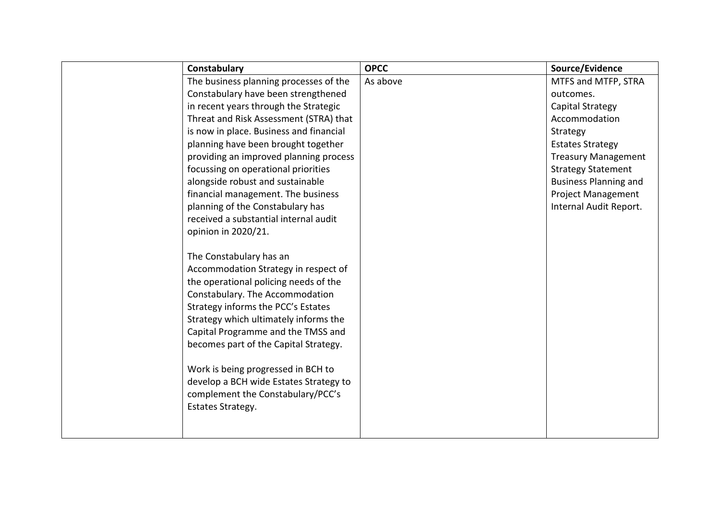| Constabulary                            | <b>OPCC</b> | Source/Evidence              |
|-----------------------------------------|-------------|------------------------------|
| The business planning processes of the  | As above    | MTFS and MTFP, STRA          |
| Constabulary have been strengthened     |             | outcomes.                    |
| in recent years through the Strategic   |             | Capital Strategy             |
| Threat and Risk Assessment (STRA) that  |             | Accommodation                |
| is now in place. Business and financial |             | Strategy                     |
| planning have been brought together     |             | <b>Estates Strategy</b>      |
| providing an improved planning process  |             | <b>Treasury Management</b>   |
| focussing on operational priorities     |             | <b>Strategy Statement</b>    |
| alongside robust and sustainable        |             | <b>Business Planning and</b> |
| financial management. The business      |             | <b>Project Management</b>    |
| planning of the Constabulary has        |             | Internal Audit Report.       |
| received a substantial internal audit   |             |                              |
| opinion in 2020/21.                     |             |                              |
|                                         |             |                              |
| The Constabulary has an                 |             |                              |
| Accommodation Strategy in respect of    |             |                              |
| the operational policing needs of the   |             |                              |
| Constabulary. The Accommodation         |             |                              |
| Strategy informs the PCC's Estates      |             |                              |
| Strategy which ultimately informs the   |             |                              |
| Capital Programme and the TMSS and      |             |                              |
| becomes part of the Capital Strategy.   |             |                              |
|                                         |             |                              |
| Work is being progressed in BCH to      |             |                              |
| develop a BCH wide Estates Strategy to  |             |                              |
| complement the Constabulary/PCC's       |             |                              |
| Estates Strategy.                       |             |                              |
|                                         |             |                              |
|                                         |             |                              |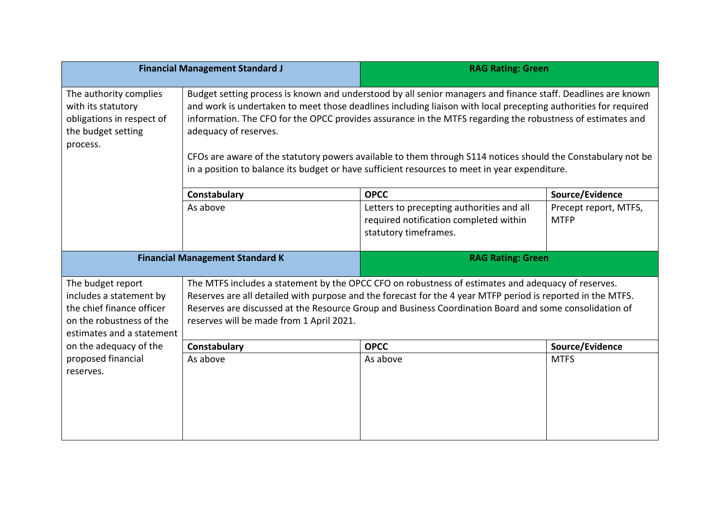|                                                                                                                                    | <b>Financial Management Standard J</b>                                                                                                                                                                                                                                                                                                                                                                                                                                                                                                                                                  | <b>RAG Rating: Green</b>                                                                                                                                                                                                                                                                                                    |                                      |
|------------------------------------------------------------------------------------------------------------------------------------|-----------------------------------------------------------------------------------------------------------------------------------------------------------------------------------------------------------------------------------------------------------------------------------------------------------------------------------------------------------------------------------------------------------------------------------------------------------------------------------------------------------------------------------------------------------------------------------------|-----------------------------------------------------------------------------------------------------------------------------------------------------------------------------------------------------------------------------------------------------------------------------------------------------------------------------|--------------------------------------|
| The authority complies<br>with its statutory<br>obligations in respect of<br>the budget setting<br>process.                        | Budget setting process is known and understood by all senior managers and finance staff. Deadlines are known<br>and work is undertaken to meet those deadlines including liaison with local precepting authorities for required<br>information. The CFO for the OPCC provides assurance in the MTFS regarding the robustness of estimates and<br>adequacy of reserves.<br>CFOs are aware of the statutory powers available to them through S114 notices should the Constabulary not be<br>in a position to balance its budget or have sufficient resources to meet in year expenditure. |                                                                                                                                                                                                                                                                                                                             |                                      |
|                                                                                                                                    | Constabulary                                                                                                                                                                                                                                                                                                                                                                                                                                                                                                                                                                            | <b>OPCC</b>                                                                                                                                                                                                                                                                                                                 | Source/Evidence                      |
|                                                                                                                                    | As above                                                                                                                                                                                                                                                                                                                                                                                                                                                                                                                                                                                | Letters to precepting authorities and all<br>required notification completed within<br>statutory timeframes.                                                                                                                                                                                                                | Precept report, MTFS,<br><b>MTFP</b> |
|                                                                                                                                    | <b>Financial Management Standard K</b><br><b>RAG Rating: Green</b>                                                                                                                                                                                                                                                                                                                                                                                                                                                                                                                      |                                                                                                                                                                                                                                                                                                                             |                                      |
|                                                                                                                                    |                                                                                                                                                                                                                                                                                                                                                                                                                                                                                                                                                                                         |                                                                                                                                                                                                                                                                                                                             |                                      |
| The budget report<br>includes a statement by<br>the chief finance officer<br>on the robustness of the<br>estimates and a statement | reserves will be made from 1 April 2021.                                                                                                                                                                                                                                                                                                                                                                                                                                                                                                                                                | The MTFS includes a statement by the OPCC CFO on robustness of estimates and adequacy of reserves.<br>Reserves are all detailed with purpose and the forecast for the 4 year MTFP period is reported in the MTFS.<br>Reserves are discussed at the Resource Group and Business Coordination Board and some consolidation of |                                      |
| on the adequacy of the                                                                                                             | Constabulary                                                                                                                                                                                                                                                                                                                                                                                                                                                                                                                                                                            | <b>OPCC</b>                                                                                                                                                                                                                                                                                                                 | Source/Evidence                      |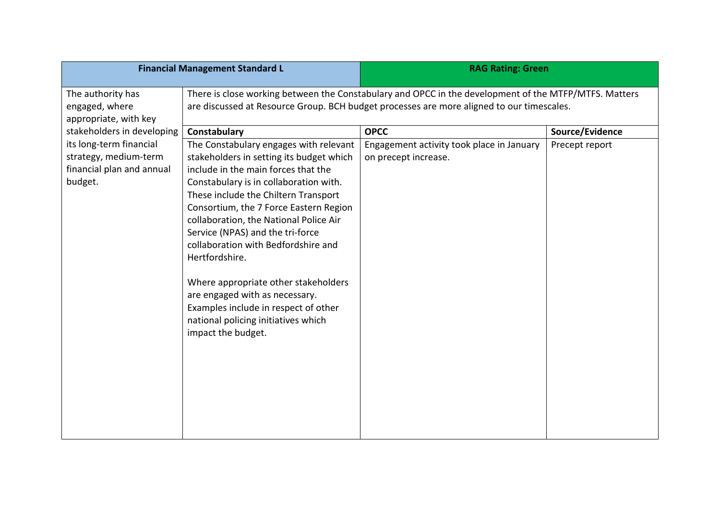| <b>Financial Management Standard L</b> |                                                                                                       | <b>RAG Rating: Green</b>                  |                 |
|----------------------------------------|-------------------------------------------------------------------------------------------------------|-------------------------------------------|-----------------|
| The authority has                      | There is close working between the Constabulary and OPCC in the development of the MTFP/MTFS. Matters |                                           |                 |
| engaged, where                         | are discussed at Resource Group. BCH budget processes are more aligned to our timescales.             |                                           |                 |
| appropriate, with key                  |                                                                                                       |                                           |                 |
| stakeholders in developing             | Constabulary                                                                                          | <b>OPCC</b>                               | Source/Evidence |
| its long-term financial                | The Constabulary engages with relevant                                                                | Engagement activity took place in January | Precept report  |
| strategy, medium-term                  | stakeholders in setting its budget which                                                              | on precept increase.                      |                 |
| financial plan and annual              | include in the main forces that the                                                                   |                                           |                 |
| budget.                                | Constabulary is in collaboration with.                                                                |                                           |                 |
|                                        | These include the Chiltern Transport                                                                  |                                           |                 |
|                                        | Consortium, the 7 Force Eastern Region                                                                |                                           |                 |
|                                        | collaboration, the National Police Air                                                                |                                           |                 |
|                                        | Service (NPAS) and the tri-force                                                                      |                                           |                 |
|                                        | collaboration with Bedfordshire and                                                                   |                                           |                 |
|                                        | Hertfordshire.                                                                                        |                                           |                 |
|                                        |                                                                                                       |                                           |                 |
|                                        | Where appropriate other stakeholders                                                                  |                                           |                 |
|                                        | are engaged with as necessary.                                                                        |                                           |                 |
|                                        | Examples include in respect of other                                                                  |                                           |                 |
|                                        | national policing initiatives which                                                                   |                                           |                 |
|                                        | impact the budget.                                                                                    |                                           |                 |
|                                        |                                                                                                       |                                           |                 |
|                                        |                                                                                                       |                                           |                 |
|                                        |                                                                                                       |                                           |                 |
|                                        |                                                                                                       |                                           |                 |
|                                        |                                                                                                       |                                           |                 |
|                                        |                                                                                                       |                                           |                 |
|                                        |                                                                                                       |                                           |                 |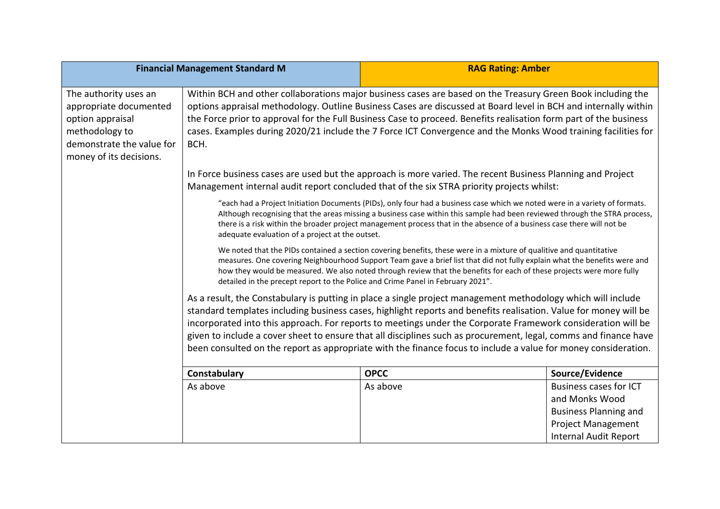| <b>Financial Management Standard M</b>                                                                                                        |                                                                                                                                                                                                                                                                                                                                                                                                                                                                                                                                                                                        | <b>RAG Rating: Amber</b> |                                                                                                                                              |
|-----------------------------------------------------------------------------------------------------------------------------------------------|----------------------------------------------------------------------------------------------------------------------------------------------------------------------------------------------------------------------------------------------------------------------------------------------------------------------------------------------------------------------------------------------------------------------------------------------------------------------------------------------------------------------------------------------------------------------------------------|--------------------------|----------------------------------------------------------------------------------------------------------------------------------------------|
|                                                                                                                                               |                                                                                                                                                                                                                                                                                                                                                                                                                                                                                                                                                                                        |                          |                                                                                                                                              |
| The authority uses an<br>appropriate documented<br>option appraisal<br>methodology to<br>demonstrate the value for<br>money of its decisions. | Within BCH and other collaborations major business cases are based on the Treasury Green Book including the<br>options appraisal methodology. Outline Business Cases are discussed at Board level in BCH and internally within<br>the Force prior to approval for the Full Business Case to proceed. Benefits realisation form part of the business<br>cases. Examples during 2020/21 include the 7 Force ICT Convergence and the Monks Wood training facilities for<br>BCH.                                                                                                           |                          |                                                                                                                                              |
|                                                                                                                                               | In Force business cases are used but the approach is more varied. The recent Business Planning and Project<br>Management internal audit report concluded that of the six STRA priority projects whilst:                                                                                                                                                                                                                                                                                                                                                                                |                          |                                                                                                                                              |
|                                                                                                                                               | "each had a Project Initiation Documents (PIDs), only four had a business case which we noted were in a variety of formats.<br>Although recognising that the areas missing a business case within this sample had been reviewed through the STRA process,<br>there is a risk within the broader project management process that in the absence of a business case there will not be<br>adequate evaluation of a project at the outset.                                                                                                                                                 |                          |                                                                                                                                              |
|                                                                                                                                               | We noted that the PIDs contained a section covering benefits, these were in a mixture of qualitive and quantitative<br>measures. One covering Neighbourhood Support Team gave a brief list that did not fully explain what the benefits were and<br>how they would be measured. We also noted through review that the benefits for each of these projects were more fully<br>detailed in the precept report to the Police and Crime Panel in February 2021".                                                                                                                           |                          |                                                                                                                                              |
|                                                                                                                                               | As a result, the Constabulary is putting in place a single project management methodology which will include<br>standard templates including business cases, highlight reports and benefits realisation. Value for money will be<br>incorporated into this approach. For reports to meetings under the Corporate Framework consideration will be<br>given to include a cover sheet to ensure that all disciplines such as procurement, legal, comms and finance have<br>been consulted on the report as appropriate with the finance focus to include a value for money consideration. |                          |                                                                                                                                              |
|                                                                                                                                               | Constabulary                                                                                                                                                                                                                                                                                                                                                                                                                                                                                                                                                                           | <b>OPCC</b>              | Source/Evidence                                                                                                                              |
|                                                                                                                                               | As above                                                                                                                                                                                                                                                                                                                                                                                                                                                                                                                                                                               | As above                 | <b>Business cases for ICT</b><br>and Monks Wood<br><b>Business Planning and</b><br><b>Project Management</b><br><b>Internal Audit Report</b> |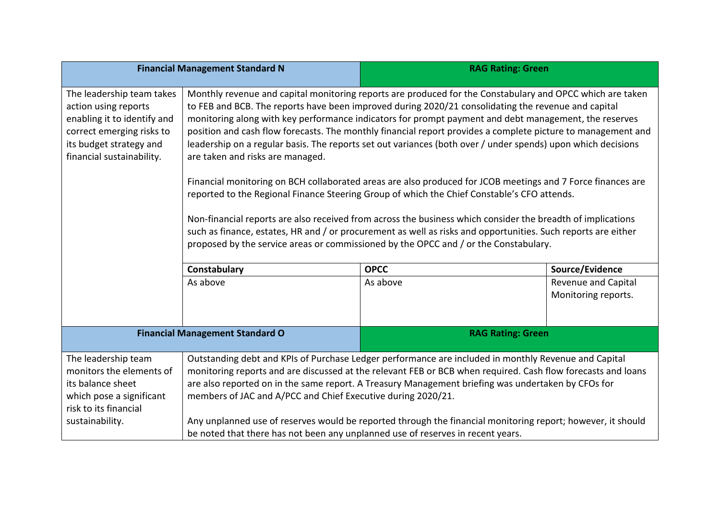| <b>Financial Management Standard N</b>                                                                                                                                |                                                                                                                                                                                                                                                                                                                                                                                                                                                                                                                                                                                                                                                                                                                                                                                                                                                                                                                                                                                                                                                                                                                                     | <b>RAG Rating: Green</b> |                                            |  |
|-----------------------------------------------------------------------------------------------------------------------------------------------------------------------|-------------------------------------------------------------------------------------------------------------------------------------------------------------------------------------------------------------------------------------------------------------------------------------------------------------------------------------------------------------------------------------------------------------------------------------------------------------------------------------------------------------------------------------------------------------------------------------------------------------------------------------------------------------------------------------------------------------------------------------------------------------------------------------------------------------------------------------------------------------------------------------------------------------------------------------------------------------------------------------------------------------------------------------------------------------------------------------------------------------------------------------|--------------------------|--------------------------------------------|--|
| The leadership team takes<br>action using reports<br>enabling it to identify and<br>correct emerging risks to<br>its budget strategy and<br>financial sustainability. | Monthly revenue and capital monitoring reports are produced for the Constabulary and OPCC which are taken<br>to FEB and BCB. The reports have been improved during 2020/21 consolidating the revenue and capital<br>monitoring along with key performance indicators for prompt payment and debt management, the reserves<br>position and cash flow forecasts. The monthly financial report provides a complete picture to management and<br>leadership on a regular basis. The reports set out variances (both over / under spends) upon which decisions<br>are taken and risks are managed.<br>Financial monitoring on BCH collaborated areas are also produced for JCOB meetings and 7 Force finances are<br>reported to the Regional Finance Steering Group of which the Chief Constable's CFO attends.<br>Non-financial reports are also received from across the business which consider the breadth of implications<br>such as finance, estates, HR and / or procurement as well as risks and opportunities. Such reports are either<br>proposed by the service areas or commissioned by the OPCC and / or the Constabulary. |                          |                                            |  |
|                                                                                                                                                                       | <b>OPCC</b><br>Source/Evidence<br>Constabulary                                                                                                                                                                                                                                                                                                                                                                                                                                                                                                                                                                                                                                                                                                                                                                                                                                                                                                                                                                                                                                                                                      |                          |                                            |  |
|                                                                                                                                                                       | As above                                                                                                                                                                                                                                                                                                                                                                                                                                                                                                                                                                                                                                                                                                                                                                                                                                                                                                                                                                                                                                                                                                                            | As above                 | Revenue and Capital<br>Monitoring reports. |  |
| <b>Financial Management Standard O</b>                                                                                                                                |                                                                                                                                                                                                                                                                                                                                                                                                                                                                                                                                                                                                                                                                                                                                                                                                                                                                                                                                                                                                                                                                                                                                     | <b>RAG Rating: Green</b> |                                            |  |
| The leadership team<br>monitors the elements of<br>its balance sheet<br>which pose a significant<br>risk to its financial<br>sustainability.                          | Outstanding debt and KPIs of Purchase Ledger performance are included in monthly Revenue and Capital<br>monitoring reports and are discussed at the relevant FEB or BCB when required. Cash flow forecasts and loans<br>are also reported on in the same report. A Treasury Management briefing was undertaken by CFOs for<br>members of JAC and A/PCC and Chief Executive during 2020/21.<br>Any unplanned use of reserves would be reported through the financial monitoring report; however, it should<br>be noted that there has not been any unplanned use of reserves in recent years.                                                                                                                                                                                                                                                                                                                                                                                                                                                                                                                                        |                          |                                            |  |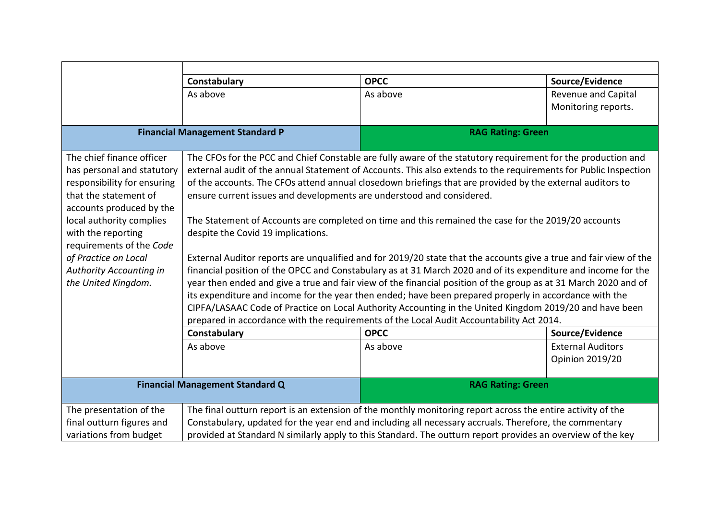|                                        | Constabulary                                                                                                                                                                                                      | <b>OPCC</b>                                                                                                 | Source/Evidence          |
|----------------------------------------|-------------------------------------------------------------------------------------------------------------------------------------------------------------------------------------------------------------------|-------------------------------------------------------------------------------------------------------------|--------------------------|
|                                        | As above                                                                                                                                                                                                          | As above                                                                                                    | Revenue and Capital      |
|                                        |                                                                                                                                                                                                                   |                                                                                                             | Monitoring reports.      |
|                                        |                                                                                                                                                                                                                   |                                                                                                             |                          |
| <b>Financial Management Standard P</b> |                                                                                                                                                                                                                   | <b>RAG Rating: Green</b>                                                                                    |                          |
| The chief finance officer              | The CFOs for the PCC and Chief Constable are fully aware of the statutory requirement for the production and                                                                                                      |                                                                                                             |                          |
| has personal and statutory             | external audit of the annual Statement of Accounts. This also extends to the requirements for Public Inspection                                                                                                   |                                                                                                             |                          |
| responsibility for ensuring            | of the accounts. The CFOs attend annual closedown briefings that are provided by the external auditors to                                                                                                         |                                                                                                             |                          |
| that the statement of                  | ensure current issues and developments are understood and considered.                                                                                                                                             |                                                                                                             |                          |
| accounts produced by the               |                                                                                                                                                                                                                   |                                                                                                             |                          |
| local authority complies               | The Statement of Accounts are completed on time and this remained the case for the 2019/20 accounts                                                                                                               |                                                                                                             |                          |
| with the reporting                     | despite the Covid 19 implications.                                                                                                                                                                                |                                                                                                             |                          |
| requirements of the Code               |                                                                                                                                                                                                                   |                                                                                                             |                          |
| of Practice on Local                   | External Auditor reports are unqualified and for 2019/20 state that the accounts give a true and fair view of the                                                                                                 |                                                                                                             |                          |
| Authority Accounting in                | financial position of the OPCC and Constabulary as at 31 March 2020 and of its expenditure and income for the                                                                                                     |                                                                                                             |                          |
| the United Kingdom.                    | year then ended and give a true and fair view of the financial position of the group as at 31 March 2020 and of                                                                                                   |                                                                                                             |                          |
|                                        | its expenditure and income for the year then ended; have been prepared properly in accordance with the<br>CIPFA/LASAAC Code of Practice on Local Authority Accounting in the United Kingdom 2019/20 and have been |                                                                                                             |                          |
|                                        | prepared in accordance with the requirements of the Local Audit Accountability Act 2014.                                                                                                                          |                                                                                                             |                          |
|                                        | Constabulary                                                                                                                                                                                                      | <b>OPCC</b>                                                                                                 | Source/Evidence          |
|                                        | As above                                                                                                                                                                                                          | As above                                                                                                    | <b>External Auditors</b> |
|                                        |                                                                                                                                                                                                                   |                                                                                                             | <b>Opinion 2019/20</b>   |
|                                        |                                                                                                                                                                                                                   |                                                                                                             |                          |
| <b>Financial Management Standard Q</b> |                                                                                                                                                                                                                   | <b>RAG Rating: Green</b>                                                                                    |                          |
| The presentation of the                |                                                                                                                                                                                                                   | The final outturn report is an extension of the monthly monitoring report across the entire activity of the |                          |
| final outturn figures and              | Constabulary, updated for the year end and including all necessary accruals. Therefore, the commentary                                                                                                            |                                                                                                             |                          |
| variations from budget                 | provided at Standard N similarly apply to this Standard. The outturn report provides an overview of the key                                                                                                       |                                                                                                             |                          |